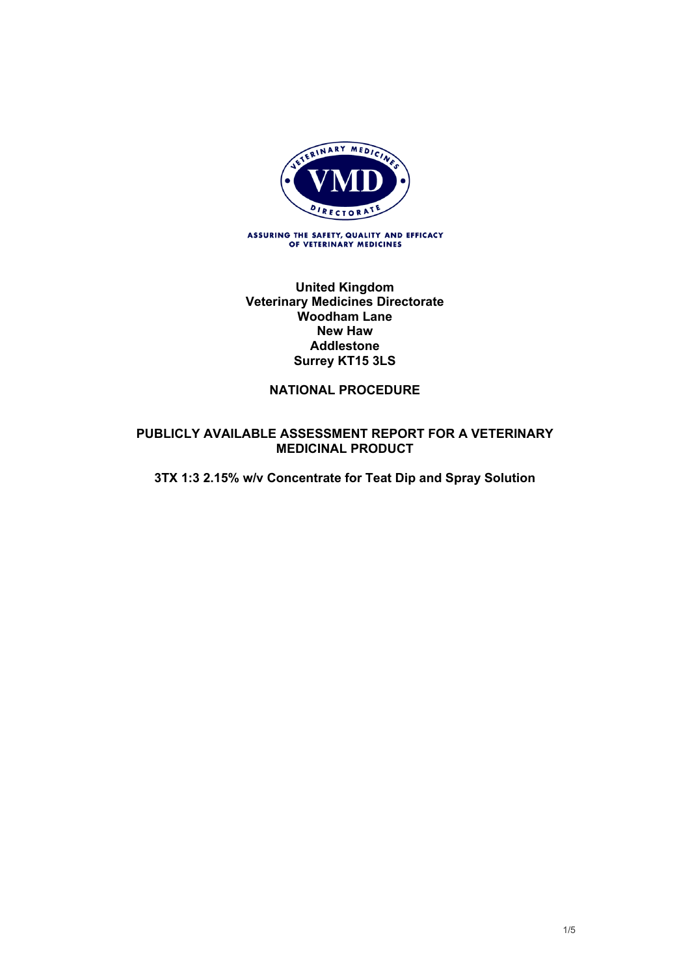

ASSURING THE SAFETY, QUALITY AND EFFICACY<br>OF VETERINARY MEDICINES

**United Kingdom Veterinary Medicines Directorate Woodham Lane New Haw Addlestone Surrey KT15 3LS**

#### **NATIONAL PROCEDURE**

#### **PUBLICLY AVAILABLE ASSESSMENT REPORT FOR A VETERINARY MEDICINAL PRODUCT**

**3TX 1:3 2.15% w/v Concentrate for Teat Dip and Spray Solution**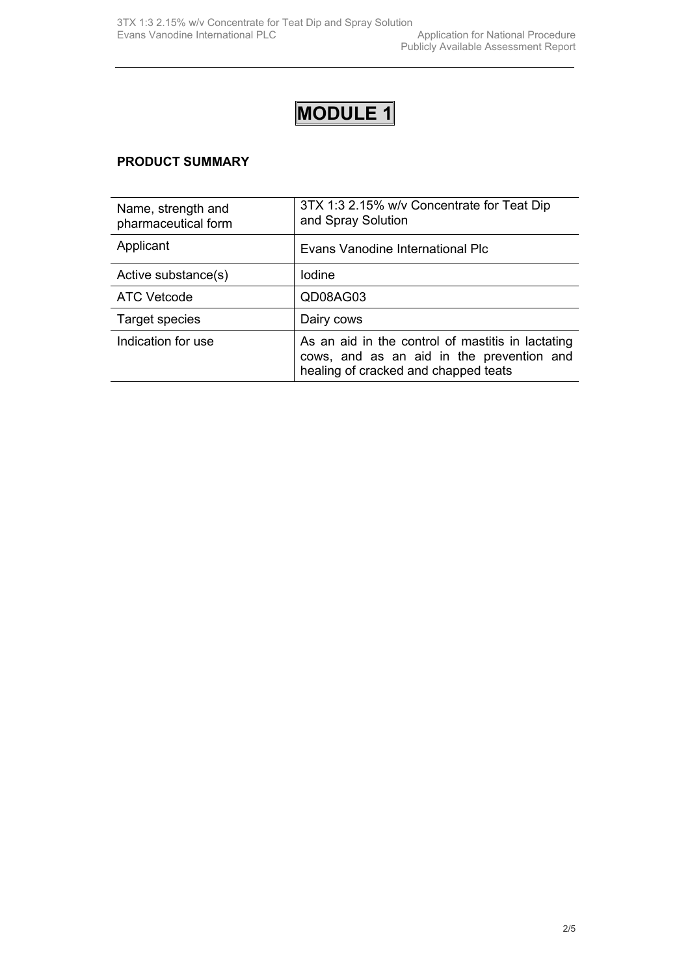#### **PRODUCT SUMMARY**

| Name, strength and<br>pharmaceutical form | 3TX 1:3 2.15% w/v Concentrate for Teat Dip<br>and Spray Solution                                                                       |
|-------------------------------------------|----------------------------------------------------------------------------------------------------------------------------------------|
| Applicant                                 | Evans Vanodine International Plc                                                                                                       |
| Active substance(s)                       | lodine                                                                                                                                 |
| <b>ATC Vetcode</b>                        | QD08AG03                                                                                                                               |
| Target species                            | Dairy cows                                                                                                                             |
| Indication for use                        | As an aid in the control of mastitis in lactating<br>cows, and as an aid in the prevention and<br>healing of cracked and chapped teats |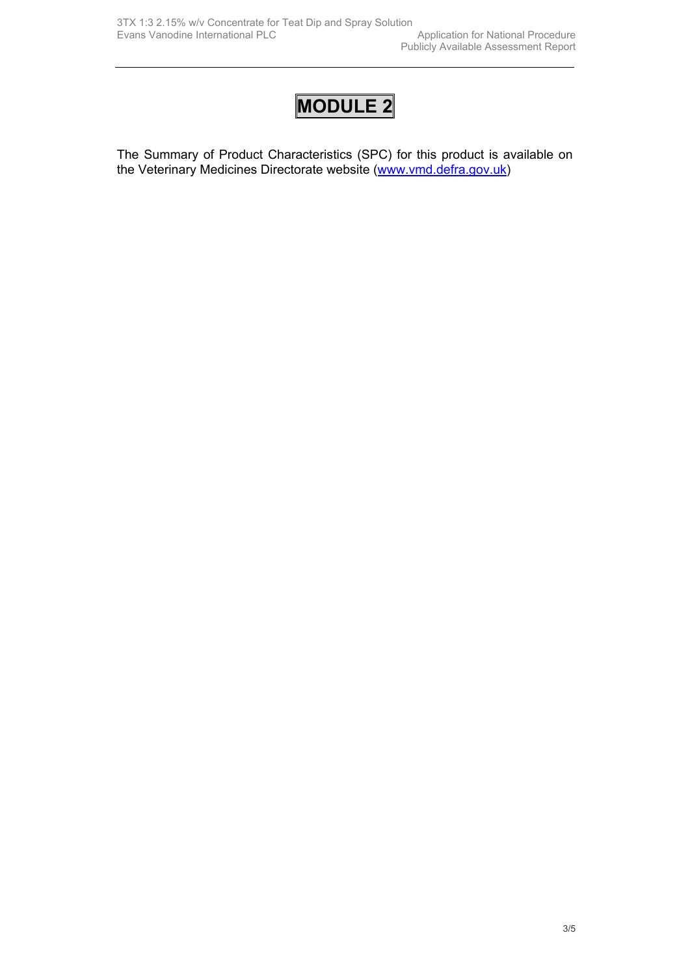The Summary of Product Characteristics (SPC) for this product is available on the Veterinary Medicines Directorate website ([www.vmd.defra.gov.uk](http://www.vmd.defra.gov.uk/))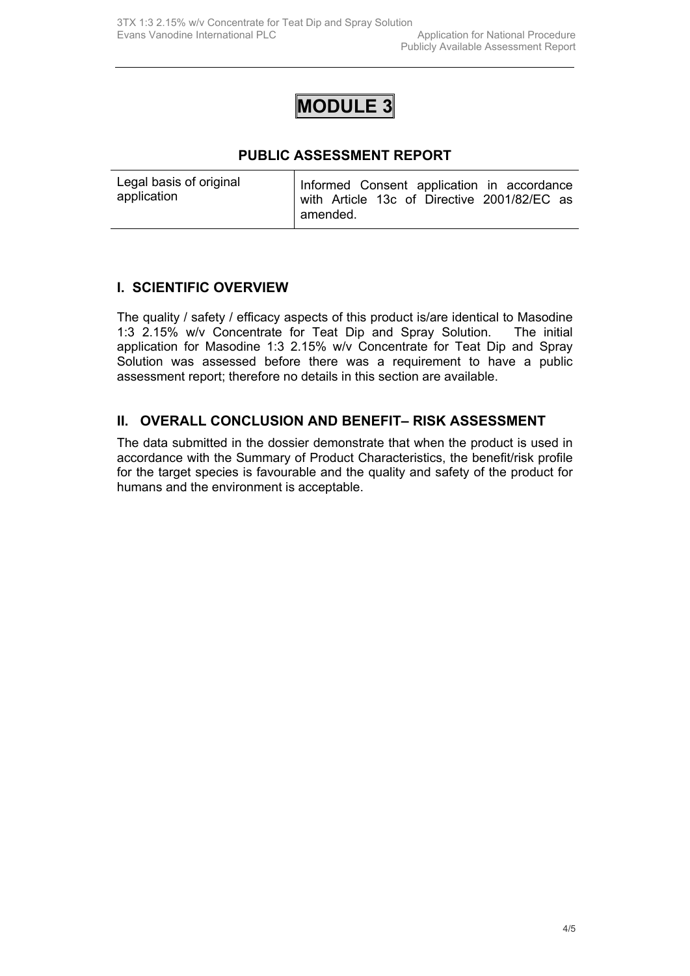#### **PUBLIC ASSESSMENT REPORT**

| Legal basis of original | Informed Consent application in accordance                |
|-------------------------|-----------------------------------------------------------|
| application             | with Article 13c of Directive 2001/82/EC as<br>l amended. |
|                         |                                                           |

#### **I. SCIENTIFIC OVERVIEW**

The quality / safety / efficacy aspects of this product is/are identical to Masodine 1:3 2.15% w/v Concentrate for Teat Dip and Spray Solution. The initial application for Masodine 1:3 2.15% w/v Concentrate for Teat Dip and Spray Solution was assessed before there was a requirement to have a public assessment report; therefore no details in this section are available.

#### **II. OVERALL CONCLUSION AND BENEFIT– RISK ASSESSMENT**

The data submitted in the dossier demonstrate that when the product is used in accordance with the Summary of Product Characteristics, the benefit/risk profile for the target species is favourable and the quality and safety of the product for humans and the environment is acceptable.